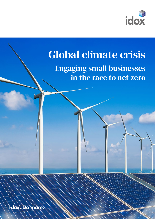

## Global climate crisis Engaging small businesses in the race to net zero

Idox. Do more.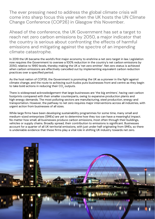The ever pressing need to address the global climate crisis will come into sharp focus this year when the UK hosts the UN Climate Change Conference (COP26) in Glasgow this November.

Ahead of the conference, the UK Government has set a target to reach net zero carbon emissions by 2050, a major indicator that the country is serious about confronting the effects of harmful emissions and mitigating against the spectre of an impending climate catastrophe.

In 2019 the UK became the world's first major economy to enshrine a net zero target in law. Legislation now requires the Government to oversee a 100% reduction in the country's net carbon emissions by 2050, relative to 1990 levels, thereby making the UK a 'net zero emitter'. Net zero status is achieved when carbon emissions are effectively cancelled out by implementing equivalent carbon reduction practices over a specified period.

As the host nation of COP26, the Government is promoting the UK as a pioneer in the fight against climate change, and the route to achieving such kudos puts businesses front and centre as they begin to take bold actions in reducing their CO<sub>2</sub> outputs.

There is widespread acknowledgement that large businesses are 'the big emitters', having vast carbon footprints compared with their smaller counterparts, owing to expansive production plants and high energy demands. The most polluting sectors are manufacturing, steel production, energy and transportation. However, the pathway to net zero requires major interventions across all industries, with urgent action from businesses of all sizes.

While large firms have been developing sustainability programmes for some time, many small and medium-sized enterprises (SMEs) are yet to determine how they too can have a meaningful impact. No matter how small, all businesses produce carbon emissions, most often through their buildings, vehicles or supply chains. Broadly spread, their contribution to emissions is significant. Businesses account for a quarter of all UK territorial emissions, with just under half originating from SMEs, so there is undeniable evidence that these firms play a vital role in shifting UK industry towards net zero.

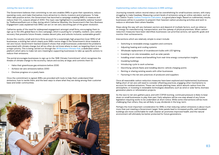

## **Joining the race to net zero**

The Government believes that committing to net zero enables SMEs to grow their operations, reduce operating costs, and make themselves more attractive to clients, investors and employees. To help them take positive action, the Government has launched a campaign enabling SMEs to measure and reduce their CO<sub>2</sub> outputs ahead of 2050. This topic was highlighted in a sustainability webinar hosted by TheBusinessDesk.com in May, during which Catherine Westoby, the Government's Net Zero Business Engagement Lead, explained how SMEs can act on net zero, becoming part of the green revolution.

Catherine spoke of the need for widespread engagement amongst small firms, encouraging them to sign up to the UN's global Race to Zero campaign, which is pushing for 'a healthy, resilient, zero carbon recovery that prevents future threats, creates decent jobs, and unlocks inclusive, sustainable growth'.

Across the country, small and micro firms account for a surprisingly high proportion (over 99%) of all businesses, a striking fact which clearly puts SMEs centre stage in the Government's drive towards a net zero future. Government-backed research shows that small businesses understand the problems associated with climate change, but all too often do not know where to start, so targeting them is now a major priority. This is being carried out through the **[UK Business Climate Hub](https://smeclimatehub.org/uk/)**, a dedicated online platform which aims to make net zero meaningful, supporting businesses to take up specific actions to reduce their emissions.

The portal encourages businesses to sign up to the 'SME Climate Commitment' which recognises the threats of climate change to the economy, nature and society at large, and commits them to:

- Halve their greenhouse gas emissions before 2030
- Achieve net zero emissions before 2050
- Disclose progress on a yearly basis

Once the commitment is signed, SMEs are provided with tools to help them understand their emissions, how to tackle them, and the best ways to share what they are doing among their customer base and wider communities.

## **Implementing carbon reduction measures in SME settings**

Journeying towards carbon neutral status can be overwhelming for small business owners, with many struggling to make headway. Measuring current levels of emissions using an online calculator, such as the Carbon Trust's **[Carbon Footprint Calculator](https://www.carbontrust.com/resources/sme-carbon-footprint-calculator)**, is a good place begin. Based on rudimentary results, businesses will be in a position to pinpoint their heaviest carbon producing activities and work to reduce or eliminate them where feasible.

Steps along the way will vary between sectors and depend of multiple factors, such as reliance on energy for manufacturing, transportation, and the upkeep of physical premises. When carbon reduction measures have been identified, businesses can prioritise actions, set specific goals and monitor their achievements.

Interventions which are relatively simple to enact include:

- Switching to renewable energy suppliers and contracts
- Adjusting heating and cooling systems
- Wholesale replacement of incandescent bulbs with LED lighting
- Investing in on-site renewables, such as solar panels
- Installing smart meters and benefiting from real-time energy consumption insights
- Insulating buildings
- Introducing cycle to work schemes
- Electrifying vehicle fleets and installing electric vehicle charging points
- Renting or sharing existing assets with other businesses
- Factoring in the net zero practices of producers and suppliers

Once all reasonable carbon reduction measures have been explored and implemented, businesses falling short of net zero will need to consider offsetting practices, engaging other mechanisms to account for residual emissions. These can include planting trees, which absorb carbon from the atmosphere, or investing in renewable technologies elsewhere, such as wind or solar farms, biomass generation plants or reforestation projects.

As the race to net zero gathers pace, and with COP26 looming, continued pressure is likely to bear down on small businesses to play their part. Early adopters will be one step ahead of any future legislation requiring works to be undertaken at short notice. While some interventions will be more challenging than others, they are all likely to pay dividends in the long-term.

Perhaps the most important consideration for SMEs is that reducing carbon emissions is about much more than just meeting a Government target. Solar panels lead to increased profits, well insulated buildings are more comfortable for staff, cleaner air promotes improved health, and the natural environment will ultimately be better protected for future generations.